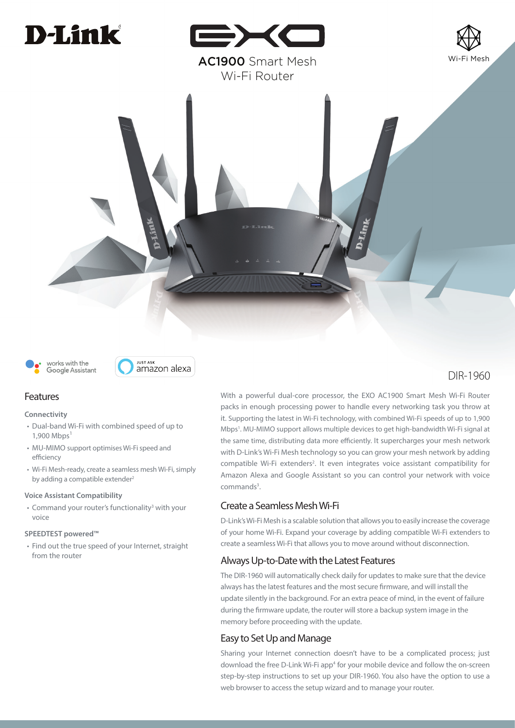

works with the Google Assistant



# Features

## **Connectivity**

- Dual-band Wi-Fi with combined speed of up to  $1,900$  Mbps<sup>1</sup>
- MU-MIMO support optimises Wi-Fi speed and efficiency
- Wi-Fi Mesh-ready, create a seamless mesh Wi-Fi, simply by adding a compatible extender<sup>2</sup>

### **Voice Assistant Compatibility**

• Command your router's functionality<sup>3</sup> with your voice

#### **SPEEDTEST powered™**

• Find out the true speed of your Internet, straight from the router

With a powerful dual-core processor, the EXO AC1900 Smart Mesh Wi-Fi Router packs in enough processing power to handle every networking task you throw at it. Supporting the latest in Wi-Fi technology, with combined Wi-Fi speeds of up to 1,900 Mbps1 . MU-MIMO support allows multiple devices to get high-bandwidth Wi-Fi signal at the same time, distributing data more efficiently. It supercharges your mesh network with D-Link's Wi-Fi Mesh technology so you can grow your mesh network by adding compatible Wi-Fi extenders<sup>2</sup>. It even integrates voice assistant compatibility for Amazon Alexa and Google Assistant so you can control your network with voice

DIR-1960

# Create a Seamless Mesh Wi-Fi

commands<sup>3</sup>.

D-Link's Wi-Fi Mesh is a scalable solution that allows you to easily increase the coverage of your home Wi-Fi. Expand your coverage by adding compatible Wi-Fi extenders to create a seamless Wi-Fi that allows you to move around without disconnection.

# Always Up-to-Date with the Latest Features

The DIR-1960 will automatically check daily for updates to make sure that the device always has the latest features and the most secure firmware, and will install the update silently in the background. For an extra peace of mind, in the event of failure during the firmware update, the router will store a backup system image in the memory before proceeding with the update.

# Easy to Set Up and Manage

Sharing your Internet connection doesn't have to be a complicated process; just download the free D-Link Wi-Fi app<sup>4</sup> for your mobile device and follow the on-screen step-by-step instructions to set up your DIR-1960. You also have the option to use a web browser to access the setup wizard and to manage your router.